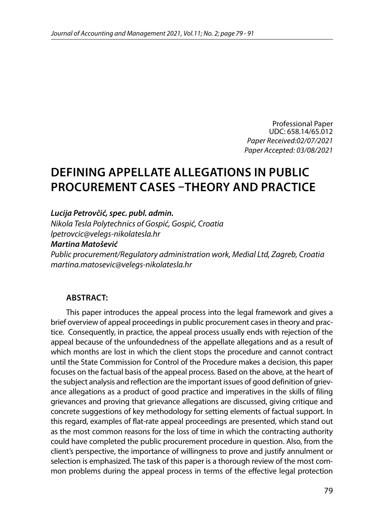Professional Paper UDC: 658.14/65.012 *Paper Received:02/07/2021 Paper Accepted: 03/08/2021*

# **DEFINING APPELLATE ALLEGATIONS IN PUBLIC PROCUREMENT CASES –THEORY AND PRACTICE**

*Lucija Petrovčić, spec. publ. admin.*

*Nikola Tesla Polytechnics of Gospić, Gospić, Croatia lpetrovcic@velegs-nikolatesla.hr*

#### *Martina Matošević*

*Public procurement/Regulatory administration work, Medial Ltd, Zagreb, Croatia martina.matosevic@velegs-nikolatesla.hr*

#### **ABSTRACT:**

This paper introduces the appeal process into the legal framework and gives a brief overview of appeal proceedings in public procurement cases in theory and practice. Consequently, in practice, the appeal process usually ends with rejection of the appeal because of the unfoundedness of the appellate allegations and as a result of which months are lost in which the client stops the procedure and cannot contract until the State Commission for Control of the Procedure makes a decision, this paper focuses on the factual basis of the appeal process. Based on the above, at the heart of the subject analysis and reflection are the important issues of good definition of grievance allegations as a product of good practice and imperatives in the skills of filing grievances and proving that grievance allegations are discussed, giving critique and concrete suggestions of key methodology for setting elements of factual support. In this regard, examples of flat-rate appeal proceedings are presented, which stand out as the most common reasons for the loss of time in which the contracting authority could have completed the public procurement procedure in question. Also, from the client's perspective, the importance of willingness to prove and justify annulment or selection is emphasized. The task of this paper is a thorough review of the most common problems during the appeal process in terms of the effective legal protection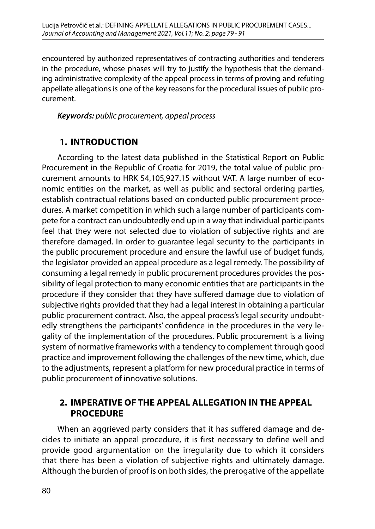encountered by authorized representatives of contracting authorities and tenderers in the procedure, whose phases will try to justify the hypothesis that the demanding administrative complexity of the appeal process in terms of proving and refuting appellate allegations is one of the key reasons for the procedural issues of public procurement.

#### *Keywords: public procurement, appeal process*

### **1. INTRODUCTION**

According to the latest data published in the Statistical Report on Public Procurement in the Republic of Croatia for 2019, the total value of public procurement amounts to HRK 54,105,927.15 without VAT. A large number of economic entities on the market, as well as public and sectoral ordering parties, establish contractual relations based on conducted public procurement procedures. A market competition in which such a large number of participants compete for a contract can undoubtedly end up in a way that individual participants feel that they were not selected due to violation of subjective rights and are therefore damaged. In order to guarantee legal security to the participants in the public procurement procedure and ensure the lawful use of budget funds, the legislator provided an appeal procedure as a legal remedy. The possibility of consuming a legal remedy in public procurement procedures provides the possibility of legal protection to many economic entities that are participants in the procedure if they consider that they have suffered damage due to violation of subjective rights provided that they had a legal interest in obtaining a particular public procurement contract. Also, the appeal process's legal security undoubtedly strengthens the participants' confidence in the procedures in the very legality of the implementation of the procedures. Public procurement is a living system of normative frameworks with a tendency to complement through good practice and improvement following the challenges of the new time, which, due to the adjustments, represent a platform for new procedural practice in terms of public procurement of innovative solutions.

### **2. IMPERATIVE OF THE APPEAL ALLEGATION IN THE APPEAL PROCEDURE**

When an aggrieved party considers that it has suffered damage and decides to initiate an appeal procedure, it is first necessary to define well and provide good argumentation on the irregularity due to which it considers that there has been a violation of subjective rights and ultimately damage. Although the burden of proof is on both sides, the prerogative of the appellate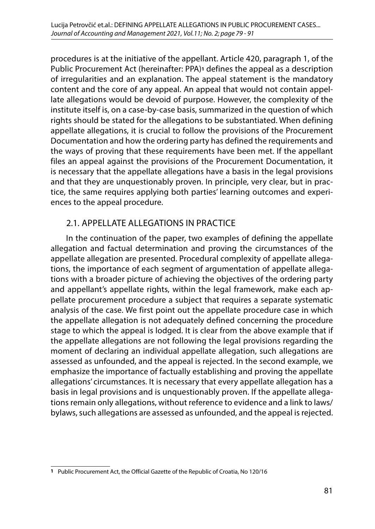procedures is at the initiative of the appellant. Article 420, paragraph 1, of the Public Procurement Act (hereinafter: PPA)**1** defines the appeal as a description of irregularities and an explanation. The appeal statement is the mandatory content and the core of any appeal. An appeal that would not contain appellate allegations would be devoid of purpose. However, the complexity of the institute itself is, on a case-by-case basis, summarized in the question of which rights should be stated for the allegations to be substantiated. When defining appellate allegations, it is crucial to follow the provisions of the Procurement Documentation and how the ordering party has defined the requirements and the ways of proving that these requirements have been met. If the appellant files an appeal against the provisions of the Procurement Documentation, it is necessary that the appellate allegations have a basis in the legal provisions and that they are unquestionably proven. In principle, very clear, but in practice, the same requires applying both parties' learning outcomes and experiences to the appeal procedure.

### 2.1. APPELLATE ALLEGATIONS IN PRACTICE

In the continuation of the paper, two examples of defining the appellate allegation and factual determination and proving the circumstances of the appellate allegation are presented. Procedural complexity of appellate allegations, the importance of each segment of argumentation of appellate allegations with a broader picture of achieving the objectives of the ordering party and appellant's appellate rights, within the legal framework, make each appellate procurement procedure a subject that requires a separate systematic analysis of the case. We first point out the appellate procedure case in which the appellate allegation is not adequately defined concerning the procedure stage to which the appeal is lodged. It is clear from the above example that if the appellate allegations are not following the legal provisions regarding the moment of declaring an individual appellate allegation, such allegations are assessed as unfounded, and the appeal is rejected. In the second example, we emphasize the importance of factually establishing and proving the appellate allegations' circumstances. It is necessary that every appellate allegation has a basis in legal provisions and is unquestionably proven. If the appellate allegations remain only allegations, without reference to evidence and a link to laws/ bylaws, such allegations are assessed as unfounded, and the appeal is rejected.

**<sup>1</sup>** Public Procurement Act, the Official Gazette of the Republic of Croatia, No 120/16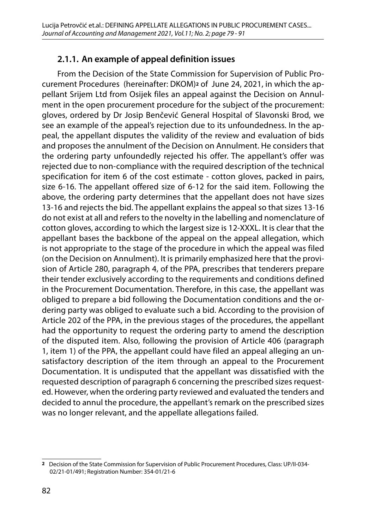### **2.1.1. An example of appeal definition issues**

From the Decision of the State Commission for Supervision of Public Procurement Procedures (hereinafter: DKOM)**2** of June 24, 2021, in which the appellant Srijem Ltd from Osijek files an appeal against the Decision on Annulment in the open procurement procedure for the subject of the procurement: gloves, ordered by Dr Josip Benčević General Hospital of Slavonski Brod, we see an example of the appeal's rejection due to its unfoundedness. In the appeal, the appellant disputes the validity of the review and evaluation of bids and proposes the annulment of the Decision on Annulment. He considers that the ordering party unfoundedly rejected his offer. The appellant's offer was rejected due to non-compliance with the required description of the technical specification for item 6 of the cost estimate - cotton gloves, packed in pairs, size 6-16. The appellant offered size of 6-12 for the said item. Following the above, the ordering party determines that the appellant does not have sizes 13-16 and rejects the bid. The appellant explains the appeal so that sizes 13-16 do not exist at all and refers to the novelty in the labelling and nomenclature of cotton gloves, according to which the largest size is 12-XXXL. It is clear that the appellant bases the backbone of the appeal on the appeal allegation, which is not appropriate to the stage of the procedure in which the appeal was filed (on the Decision on Annulment). It is primarily emphasized here that the provision of Article 280, paragraph 4, of the PPA, prescribes that tenderers prepare their tender exclusively according to the requirements and conditions defined in the Procurement Documentation. Therefore, in this case, the appellant was obliged to prepare a bid following the Documentation conditions and the ordering party was obliged to evaluate such a bid. According to the provision of Article 202 of the PPA, in the previous stages of the procedures, the appellant had the opportunity to request the ordering party to amend the description of the disputed item. Also, following the provision of Article 406 (paragraph 1, item 1) of the PPA, the appellant could have filed an appeal alleging an unsatisfactory description of the item through an appeal to the Procurement Documentation. It is undisputed that the appellant was dissatisfied with the requested description of paragraph 6 concerning the prescribed sizes requested. However, when the ordering party reviewed and evaluated the tenders and decided to annul the procedure, the appellant's remark on the prescribed sizes was no longer relevant, and the appellate allegations failed.

**<sup>2</sup>** Decision of the State Commission for Supervision of Public Procurement Procedures, Class: UP/II-034- 02/21-01/491; Registration Number: 354-01/21-6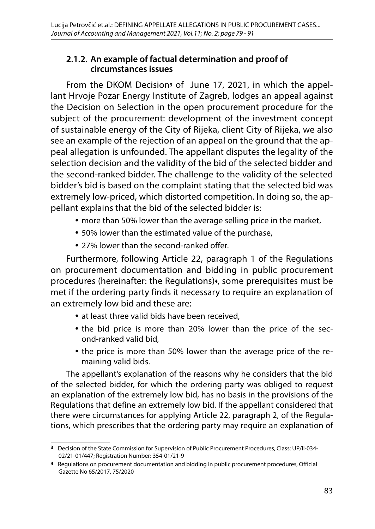### **2.1.2. An example of factual determination and proof of circumstances issues**

From the DKOM Decision**3** of June 17, 2021, in which the appellant Hrvoje Pozar Energy Institute of Zagreb, lodges an appeal against the Decision on Selection in the open procurement procedure for the subject of the procurement: development of the investment concept of sustainable energy of the City of Rijeka, client City of Rijeka, we also see an example of the rejection of an appeal on the ground that the appeal allegation is unfounded. The appellant disputes the legality of the selection decision and the validity of the bid of the selected bidder and the second-ranked bidder. The challenge to the validity of the selected bidder's bid is based on the complaint stating that the selected bid was extremely low-priced, which distorted competition. In doing so, the appellant explains that the bid of the selected bidder is:

- more than 50% lower than the average selling price in the market,
- 50% lower than the estimated value of the purchase,
- 27% lower than the second-ranked offer.

Furthermore, following Article 22, paragraph 1 of the Regulations on procurement documentation and bidding in public procurement procedures (hereinafter: the Regulations)**4**, some prerequisites must be met if the ordering party finds it necessary to require an explanation of an extremely low bid and these are:

- at least three valid bids have been received,
- the bid price is more than 20% lower than the price of the second-ranked valid bid,
- the price is more than 50% lower than the average price of the remaining valid bids.

The appellant's explanation of the reasons why he considers that the bid of the selected bidder, for which the ordering party was obliged to request an explanation of the extremely low bid, has no basis in the provisions of the Regulations that define an extremely low bid. If the appellant considered that there were circumstances for applying Article 22, paragraph 2, of the Regulations, which prescribes that the ordering party may require an explanation of

**<sup>3</sup>** Decision of the State Commission for Supervision of Public Procurement Procedures, Class: UP/II-034- 02/21-01/447; Registration Number: 354-01/21-9

**<sup>4</sup>** Regulations on procurement documentation and bidding in public procurement procedures, Official Gazette No 65/2017, 75/2020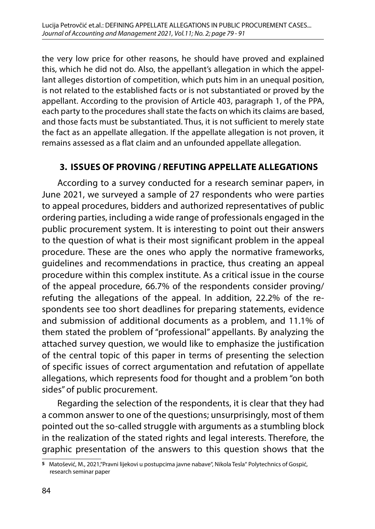the very low price for other reasons, he should have proved and explained this, which he did not do. Also, the appellant's allegation in which the appellant alleges distortion of competition, which puts him in an unequal position, is not related to the established facts or is not substantiated or proved by the appellant. According to the provision of Article 403, paragraph 1, of the PPA, each party to the procedures shall state the facts on which its claims are based, and those facts must be substantiated. Thus, it is not sufficient to merely state the fact as an appellate allegation. If the appellate allegation is not proven, it remains assessed as a flat claim and an unfounded appellate allegation.

### **3. ISSUES OF PROVING / REFUTING APPELLATE ALLEGATIONS**

According to a survey conducted for a research seminar paper**5**, in June 2021, we surveyed a sample of 27 respondents who were parties to appeal procedures, bidders and authorized representatives of public ordering parties, including a wide range of professionals engaged in the public procurement system. It is interesting to point out their answers to the question of what is their most significant problem in the appeal procedure. These are the ones who apply the normative frameworks, guidelines and recommendations in practice, thus creating an appeal procedure within this complex institute. As a critical issue in the course of the appeal procedure, 66.7% of the respondents consider proving/ refuting the allegations of the appeal. In addition, 22.2% of the respondents see too short deadlines for preparing statements, evidence and submission of additional documents as a problem, and 11.1% of them stated the problem of "professional" appellants. By analyzing the attached survey question, we would like to emphasize the justification of the central topic of this paper in terms of presenting the selection of specific issues of correct argumentation and refutation of appellate allegations, which represents food for thought and a problem "on both sides" of public procurement.

Regarding the selection of the respondents, it is clear that they had a common answer to one of the questions; unsurprisingly, most of them pointed out the so-called struggle with arguments as a stumbling block in the realization of the stated rights and legal interests. Therefore, the graphic presentation of the answers to this question shows that the

**<sup>5</sup>** Matošević, M., 2021,"Pravni lijekovi u postupcima javne nabave", Nikola Tesla" Polytechnics of Gospić, research seminar paper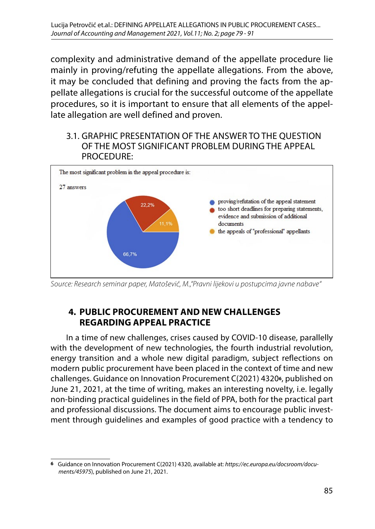complexity and administrative demand of the appellate procedure lie mainly in proving/refuting the appellate allegations. From the above, it may be concluded that defining and proving the facts from the appellate allegations is crucial for the successful outcome of the appellate procedures, so it is important to ensure that all elements of the appellate allegation are well defined and proven.

3.1. GRAPHIC PRESENTATION OF THE ANSWER TO THE QUESTION **3.1. Graphic presentation of the answer to the question of the most significant problem**  OF THE MOST SIGNIFICANT PROBLEM DURING THE APPEAL **during the appeal procedure:** PROCEDURE:



*Source: Research seminar paper, Matošević, M.,"Pravni lijekovi u postupcima javne nabave"*

### **4. PUBLIC PROCUREMENT AND NEW CHALLENGES REGARDING APPEAL PRACTICE**

Source: Research seminar paper, Matošević, M.,"Pravni lijekovi u postupcima javne nabave" modern public procurement have been placed in the context of time and new **PRACTICE** challenges. Guidance on Innovation Procurement C(2021) 4320**6**, published on In a time of new challenges, crises caused by COVID-10 disease, parallelly with the development of new technologies, the fourth industrial revolution, energy transition and a whole new digital paradigm, subject reflections on June 21, 2021, at the time of writing, makes an interesting novelty, i.e. legally non-binding practical guidelines in the field of PPA, both for the practical part and professional discussions. The document aims to encourage public investment through guidelines and examples of good practice with a tendency to

**<sup>6</sup>** Guidance on Innovation Procurement C(2021) 4320, available at: *[https://ec.europa.eu/docsroom/docu](https://ec.europa.eu/docsroom/documents/45975)[ments/45975](https://ec.europa.eu/docsroom/documents/45975)*), published on June 21, 2021.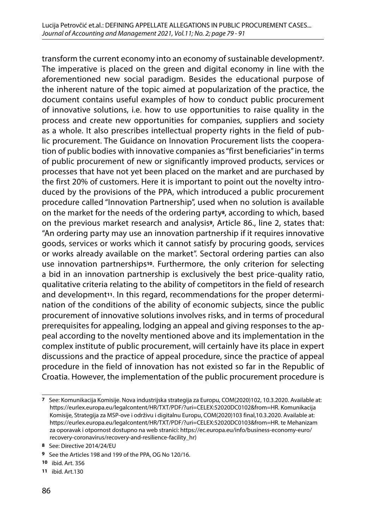transform the current economy into an economy of sustainable development**7**. The imperative is placed on the green and digital economy in line with the aforementioned new social paradigm. Besides the educational purpose of the inherent nature of the topic aimed at popularization of the practice, the document contains useful examples of how to conduct public procurement of innovative solutions, i.e. how to use opportunities to raise quality in the process and create new opportunities for companies, suppliers and society as a whole. It also prescribes intellectual property rights in the field of public procurement. The Guidance on Innovation Procurement lists the cooperation of public bodies with innovative companies as "first beneficiaries" in terms of public procurement of new or significantly improved products, services or processes that have not yet been placed on the market and are purchased by the first 20% of customers. Here it is important to point out the novelty introduced by the provisions of the PPA, which introduced a public procurement procedure called "Innovation Partnership", used when no solution is available on the market for the needs of the ordering party**8**, according to which, based on the previous market research and analysis**9**, Article 86., line 2, states that: "An ordering party may use an innovation partnership if it requires innovative goods, services or works which it cannot satisfy by procuring goods, services or works already available on the market". Sectoral ordering parties can also use innovation partnerships**10**. Furthermore, the only criterion for selecting a bid in an innovation partnership is exclusively the best price-quality ratio, qualitative criteria relating to the ability of competitors in the field of research and development**11**. In this regard, recommendations for the proper determination of the conditions of the ability of economic subjects, since the public procurement of innovative solutions involves risks, and in terms of procedural prerequisites for appealing, lodging an appeal and giving responses to the appeal according to the novelty mentioned above and its implementation in the complex institute of public procurement, will certainly have its place in expert discussions and the practice of appeal procedure, since the practice of appeal procedure in the field of innovation has not existed so far in the Republic of Croatia. However, the implementation of the public procurement procedure is

**<sup>7</sup>** See: Komunikacija Komisije. Nova industrijska strategija za Europu, COM(2020)102, 10.3.2020. Available at: [https://eurlex.europa.eu/legalcontent/HR/TXT/PDF/?uri=CELEX:52020DC0102&from=HR.](https://eurlex.europa.eu/legalcontent/HR/TXT/PDF/?uri=CELEX:52020DC0102&from=HR) Komunikacija Komisije, Strategija za MSP-ove i održivu i digitalnu Europu, COM(2020)103 final,10.3.2020. Available at: [https://eurlex.europa.eu/legalcontent/HR/TXT/PDF/?uri=CELEX:52020DC0103&from=HR.](https://eurlex.europa.eu/legalcontent/HR/TXT/PDF/?uri=CELEX:52020DC0103&from=HR) te Mehanizam za oporavak i otpornost dostupno na web stranici: [https://ec.europa.eu/info/business-economy-euro/](https://ec.europa.eu/info/business-economy-euro/recovery-coronavirus/recovery-and-resilience-facility_hr) [recovery-coronavirus/recovery-and-resilience-facility\\_hr](https://ec.europa.eu/info/business-economy-euro/recovery-coronavirus/recovery-and-resilience-facility_hr))

**<sup>8</sup>** See: Directive 2014/24/EU

**<sup>9</sup>** See the Articles 198 and 199 of the PPA, OG No 120/16.

**<sup>10</sup>** ibid. Art. 356

**<sup>11</sup>** ibid. Art.130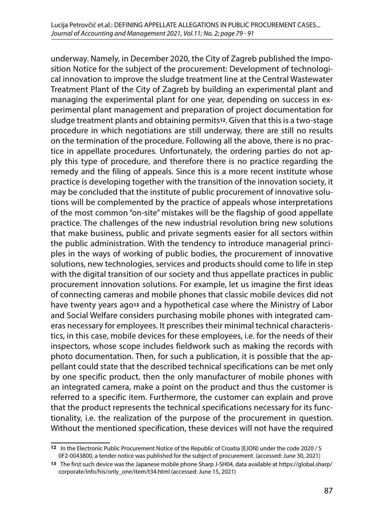underway. Namely, in December 2020, the City of Zagreb published the Imposition Notice for the subject of the procurement: Development of technological innovation to improve the sludge treatment line at the Central Wastewater Treatment Plant of the City of Zagreb by building an experimental plant and managing the experimental plant for one year, depending on success in experimental plant management and preparation of project documentation for sludge treatment plants and obtaining permits**12**. Given that this is a two-stage procedure in which negotiations are still underway, there are still no results on the termination of the procedure. Following all the above, there is no practice in appellate procedures. Unfortunately, the ordering parties do not apply this type of procedure, and therefore there is no practice regarding the remedy and the filing of appeals. Since this is a more recent institute whose practice is developing together with the transition of the innovation society, it may be concluded that the institute of public procurement of innovative solutions will be complemented by the practice of appeals whose interpretations of the most common "on-site" mistakes will be the flagship of good appellate practice. The challenges of the new industrial revolution bring new solutions that make business, public and private segments easier for all sectors within the public administration. With the tendency to introduce managerial principles in the ways of working of public bodies, the procurement of innovative solutions, new technologies, services and products should come to life in step with the digital transition of our society and thus appellate practices in public procurement innovation solutions. For example, let us imagine the first ideas of connecting cameras and mobile phones that classic mobile devices did not have twenty years ago**13** and a hypothetical case where the Ministry of Labor and Social Welfare considers purchasing mobile phones with integrated cameras necessary for employees. It prescribes their minimal technical characteristics, in this case, mobile devices for these employees, i.e. for the needs of their inspectors, whose scope includes fieldwork such as making the records with photo documentation. Then, for such a publication, it is possible that the appellant could state that the described technical specifications can be met only by one specific product, then the only manufacturer of mobile phones with an integrated camera, make a point on the product and thus the customer is referred to a specific item. Furthermore, the customer can explain and prove that the product represents the technical specifications necessary for its functionality, i.e. the realization of the purpose of the procurement in question. Without the mentioned specification, these devices will not have the required

**<sup>12</sup>** In the Electronic Public Procurement Notice of the Republic of Croatia (EJON) under the code 2020 / S 0F2-0043800, a tender notice was published for the subject of procurement. (accessed: June 30, 2021)

**<sup>13</sup>** The first such device was the Japanese mobile phone Sharp J-SH04, data available at https://global.sharp/ corporate/info/his/only\_one/item/t34.html (accessed: June 15, 2021)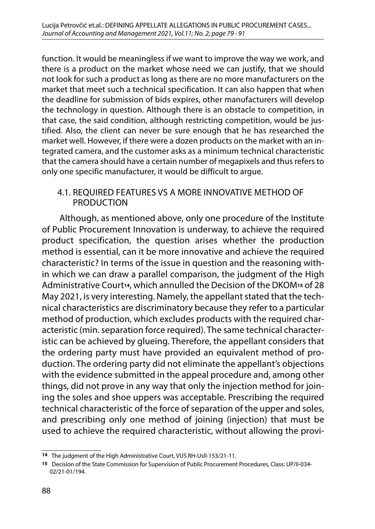function. It would be meaningless if we want to improve the way we work, and there is a product on the market whose need we can justify, that we should not look for such a product as long as there are no more manufacturers on the market that meet such a technical specification. It can also happen that when the deadline for submission of bids expires, other manufacturers will develop the technology in question. Although there is an obstacle to competition, in that case, the said condition, although restricting competition, would be justified. Also, the client can never be sure enough that he has researched the market well. However, if there were a dozen products on the market with an integrated camera, and the customer asks as a minimum technical characteristic that the camera should have a certain number of megapixels and thus refers to only one specific manufacturer, it would be difficult to argue.

#### 4.1. REQUIRED FEATURES VS A MORE INNOVATIVE METHOD OF **PRODUCTION**

 Although, as mentioned above, only one procedure of the Institute of Public Procurement Innovation is underway, to achieve the required product specification, the question arises whether the production method is essential, can it be more innovative and achieve the required characteristic? In terms of the issue in question and the reasoning within which we can draw a parallel comparison, the judgment of the High Administrative Court**14**, which annulled the Decision of the DKOM**15** of 28 May 2021, is very interesting. Namely, the appellant stated that the technical characteristics are discriminatory because they refer to a particular method of production, which excludes products with the required characteristic (min. separation force required). The same technical characteristic can be achieved by glueing. Therefore, the appellant considers that the ordering party must have provided an equivalent method of production. The ordering party did not eliminate the appellant's objections with the evidence submitted in the appeal procedure and, among other things, did not prove in any way that only the injection method for joining the soles and shoe uppers was acceptable. Prescribing the required technical characteristic of the force of separation of the upper and soles, and prescribing only one method of joining (injection) that must be used to achieve the required characteristic, without allowing the provi-

**<sup>14</sup>** The judgment of the High Administrative Court, VUS RH-Usll-153/21-11.

**<sup>15</sup>** Decision of the State Commission for Supervision of Public Procurement Procedures, Class: UP/II-034- 02/21-01/194.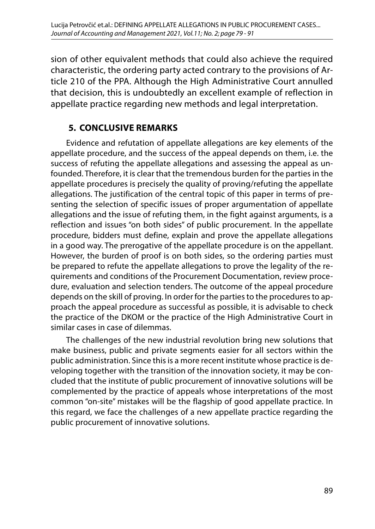sion of other equivalent methods that could also achieve the required characteristic, the ordering party acted contrary to the provisions of Article 210 of the PPA. Although the High Administrative Court annulled that decision, this is undoubtedly an excellent example of reflection in appellate practice regarding new methods and legal interpretation.

### **5. CONCLUSIVE REMARKS**

Evidence and refutation of appellate allegations are key elements of the appellate procedure, and the success of the appeal depends on them, i.e. the success of refuting the appellate allegations and assessing the appeal as unfounded. Therefore, it is clear that the tremendous burden for the parties in the appellate procedures is precisely the quality of proving/refuting the appellate allegations. The justification of the central topic of this paper in terms of presenting the selection of specific issues of proper argumentation of appellate allegations and the issue of refuting them, in the fight against arguments, is a reflection and issues "on both sides" of public procurement. In the appellate procedure, bidders must define, explain and prove the appellate allegations in a good way. The prerogative of the appellate procedure is on the appellant. However, the burden of proof is on both sides, so the ordering parties must be prepared to refute the appellate allegations to prove the legality of the requirements and conditions of the Procurement Documentation, review procedure, evaluation and selection tenders. The outcome of the appeal procedure depends on the skill of proving. In order for the parties to the procedures to approach the appeal procedure as successful as possible, it is advisable to check the practice of the DKOM or the practice of the High Administrative Court in similar cases in case of dilemmas.

The challenges of the new industrial revolution bring new solutions that make business, public and private segments easier for all sectors within the public administration. Since this is a more recent institute whose practice is developing together with the transition of the innovation society, it may be concluded that the institute of public procurement of innovative solutions will be complemented by the practice of appeals whose interpretations of the most common "on-site" mistakes will be the flagship of good appellate practice. In this regard, we face the challenges of a new appellate practice regarding the public procurement of innovative solutions.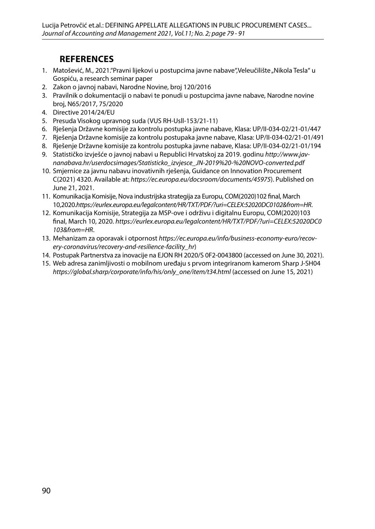## **REFERENCES**

- 1. Matošević, M., 2021. "Pravni lijekovi u postupcima javne nabave ", Veleučilište "Nikola Tesla" u Gospiću, a research seminar paper
- 2. Zakon o javnoj nabavi, Narodne Novine, broj 120/2016
- 3. Pravilnik o dokumentaciji o nabavi te ponudi u postupcima javne nabave, Narodne novine broj, N65/2017, 75/2020
- 4. Directive 2014/24/EU
- 5. Presuda Visokog upravnog suda (VUS RH-Usll-153/21-11)
- 6. Rješenja Državne komisije za kontrolu postupka javne nabave, Klasa: UP/II-034-02/21-01/447
- 7. Rješenja Državne komisije za kontrolu postupaka javne nabave, Klasa: UP/II-034-02/21-01/491
- 8. Rješenje Državne komisije za kontrolu postupka javne nabave, Klasa: UP/II-034-02/21-01/194
- 9. Statističko izvješće o javnoj nabavi u Republici Hrvatskoj za 2019. godinu *[http://www.jav](http://www.javnanabava.hr/userdocsimages/Statisticko_izvjesce_JN-2019  NOVO-converted.pdf)[nanabava.hr/userdocsimages/Statisticko\\_izvjesce\\_JN-2019%20-%20NOVO-converted.pdf](http://www.javnanabava.hr/userdocsimages/Statisticko_izvjesce_JN-2019 - NOVO-converted.pdf)*
- 10. Smjernice za javnu nabavu inovativnih rješenja, Guidance on Innovation Procurement C(2021) 4320. Available at: *<https://ec.europa.eu/docsroom/documents/45975>*). Published on June 21, 2021.
- 11. Komunikacija Komisije, Nova industrijska strategija za Europu, COM(2020)102 final, March 10,2020.*https://eurlex.europa.eu/legalcontent/HR/TXT/PDF/?uri=CELEX:52020DC0102&from=HR*.
- 12. Komunikacija Komisije, Strategija za MSP-ove i održivu i digitalnu Europu, COM(2020)103 final, March 10, 2020. *[https://eurlex.europa.eu/legalcontent/HR/TXT/PDF/?uri=CELEX:52020DC0](https://eurlex.europa.eu/legalcontent/HR/TXT/PDF/?uri=CELEX:52020DC0103&from=HR) [103&from=HR](https://eurlex.europa.eu/legalcontent/HR/TXT/PDF/?uri=CELEX:52020DC0103&from=HR)*.
- 13. Mehanizam za oporavak i otpornost *[https://ec.europa.eu/info/business-economy-euro/recov](https://ec.europa.eu/info/business-economy-euro/recovery-coronavirus/recovery-and-resilience-facility_hr)[ery-coronavirus/recovery-and-resilience-facility\\_hr](https://ec.europa.eu/info/business-economy-euro/recovery-coronavirus/recovery-and-resilience-facility_hr)*)
- 14. Postupak Partnerstva za inovacije na EJON RH 2020/S 0F2-0043800 (accessed on June 30, 2021).
- 15. Web adresa zanimljivosti o mobilnom uređaju s prvom integriranom kamerom Sharp J-SH04 *[https://global.sharp/corporate/info/his/only\\_one/item/t34.html](https://global.sharp/corporate/info/his/only_one/item/t34.html)* (accessed on June 15, 2021)